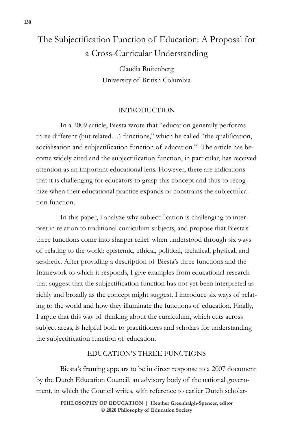# The Subjectification Function of Education: A Proposal for a Cross-Curricular Understanding

Claudia Ruitenberg University of British Columbia

### INTRODUCTION

In a 2009 article, Biesta wrote that "education generally performs three different (but related…) functions," which he called "the qualification, socialisation and subjectification function of education."<sup>1</sup> The article has become widely cited and the subjectification function, in particular, has received attention as an important educational lens. However, there are indications that it is challenging for educators to grasp this concept and thus to recognize when their educational practice expands or constrains the subjectification function.

In this paper, I analyze why subjectification is challenging to interpret in relation to traditional curriculum subjects, and propose that Biesta's three functions come into sharper relief when understood through six ways of relating to the world: epistemic, ethical, political, technical, physical, and aesthetic. After providing a description of Biesta's three functions and the framework to which it responds, I give examples from educational research that suggest that the subjectification function has not yet been interpreted as richly and broadly as the concept might suggest. I introduce six ways of relating to the world and how they illuminate the functions of education. Finally, I argue that this way of thinking about the curriculum, which cuts across subject areas, is helpful both to practitioners and scholars for understanding the subjectification function of education.

#### EDUCATION'S THREE FUNCTIONS

Biesta's framing appears to be in direct response to a 2007 document by the Dutch Education Council, an advisory body of the national government, in which the Council writes, with reference to earlier Dutch scholar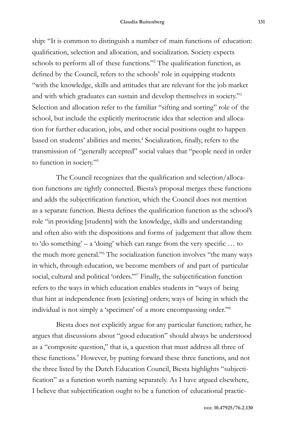ship: "It is common to distinguish a number of main functions of education: qualification, selection and allocation, and socialization. Society expects schools to perform all of these functions."<sup>2</sup> The qualification function, as defined by the Council, refers to the schools' role in equipping students "with the knowledge, skills and attitudes that are relevant for the job market and with which graduates can sustain and develop themselves in society."<sup>3</sup> Selection and allocation refer to the familiar "sifting and sorting" role of the school, but include the explicitly meritocratic idea that selection and allocation for further education, jobs, and other social positions ought to happen based on students' abilities and merits.<sup>4</sup> Socialization, finally, refers to the transmission of "generally accepted" social values that "people need in order to function in society."<sup>5</sup>

The Council recognizes that the qualification and selection/allocation functions are tightly connected. Biesta's proposal merges these functions and adds the subjectification function, which the Council does not mention as a separate function. Biesta defines the qualification function as the school's role "in providing [students] with the knowledge, skills and understanding and often also with the dispositions and forms of judgement that allow them to 'do something' – a 'doing' which can range from the very specific … to the much more general."<sup>6</sup> The socialization function involves "the many ways in which, through education, we become members of and part of particular social, cultural and political 'orders."<sup>77</sup> Finally, the subjectification function refers to the ways in which education enables students in "ways of being that hint at independence from [existing] orders; ways of being in which the individual is not simply a 'specimen' of a more encompassing order."<sup>8</sup>

Biesta does not explicitly argue for any particular function; rather, he argues that discussions about "good education" should always be understood as a "composite question," that is, a question that must address all three of these functions.<sup>9</sup> However, by putting forward these three functions, and not the three listed by the Dutch Education Council, Biesta highlights "subjectification" as a function worth naming separately. As I have argued elsewhere, I believe that subjectification ought to be a function of educational practic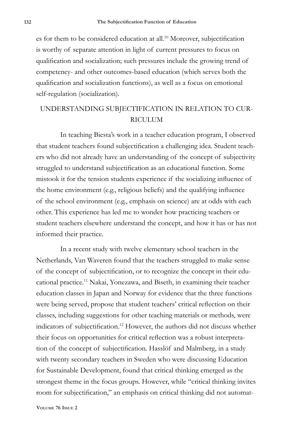es for them to be considered education at all.10 Moreover, subjectification is worthy of separate attention in light of current pressures to focus on qualification and socialization; such pressures include the growing trend of competency- and other outcomes-based education (which serves both the qualification and socialization functions), as well as a focus on emotional self-regulation (socialization).

## UNDERSTANDING SUBJECTIFICATION IN RELATION TO CUR-RICULUM

In teaching Biesta's work in a teacher education program, I observed that student teachers found subjectification a challenging idea. Student teachers who did not already have an understanding of the concept of subjectivity struggled to understand subjectification as an educational function. Some mistook it for the tension students experience if the socializing influence of the home environment (e.g., religious beliefs) and the qualifying influence of the school environment (e.g., emphasis on science) are at odds with each other. This experience has led me to wonder how practicing teachers or student teachers elsewhere understand the concept, and how it has or has not informed their practice.

In a recent study with twelve elementary school teachers in the Netherlands, Van Waveren found that the teachers struggled to make sense of the concept of subjectification, or to recognize the concept in their educational practice.<sup>11</sup> Nakai, Yonezawa, and Biseth, in examining their teacher education classes in Japan and Norway for evidence that the three functions were being served, propose that student teachers' critical reflection on their classes, including suggestions for other teaching materials or methods, were indicators of subjectification.12 However, the authors did not discuss whether their focus on opportunities for critical reflection was a robust interpretation of the concept of subjectification. Hasslöf and Malmberg, in a study with twenty secondary teachers in Sweden who were discussing Education for Sustainable Development, found that critical thinking emerged as the strongest theme in the focus groups. However, while "critical thinking invites room for subjectification," an emphasis on critical thinking did not automat-

**Volume 76 Issue 2**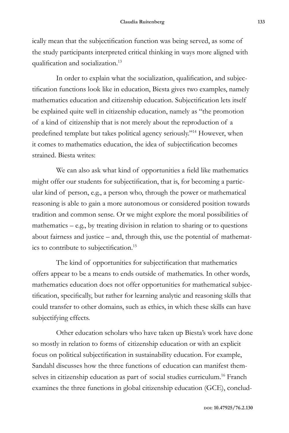ically mean that the subjectification function was being served, as some of the study participants interpreted critical thinking in ways more aligned with qualification and socialization.<sup>13</sup>

In order to explain what the socialization, qualification, and subjectification functions look like in education, Biesta gives two examples, namely mathematics education and citizenship education. Subjectification lets itself be explained quite well in citizenship education, namely as "the promotion of a kind of citizenship that is not merely about the reproduction of a predefined template but takes political agency seriously."<sup>14</sup> However, when it comes to mathematics education, the idea of subjectification becomes strained. Biesta writes:

We can also ask what kind of opportunities a field like mathematics might offer our students for subjectification, that is, for becoming a particular kind of person, e.g., a person who, through the power or mathematical reasoning is able to gain a more autonomous or considered position towards tradition and common sense. Or we might explore the moral possibilities of mathematics  $-e.g.,$  by treating division in relation to sharing or to questions about fairness and justice – and, through this, use the potential of mathematics to contribute to subjectification.<sup>15</sup>

The kind of opportunities for subjectification that mathematics offers appear to be a means to ends outside of mathematics. In other words, mathematics education does not offer opportunities for mathematical subjectification, specifically, but rather for learning analytic and reasoning skills that could transfer to other domains, such as ethics, in which these skills can have subjectifying effects.

Other education scholars who have taken up Biesta's work have done so mostly in relation to forms of citizenship education or with an explicit focus on political subjectification in sustainability education. For example, Sandahl discusses how the three functions of education can manifest themselves in citizenship education as part of social studies curriculum.<sup>16</sup> Franch examines the three functions in global citizenship education (GCE), conclud-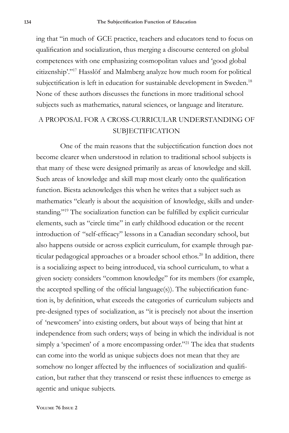ing that "in much of GCE practice, teachers and educators tend to focus on qualification and socialization, thus merging a discourse centered on global competences with one emphasizing cosmopolitan values and 'good global citizenship'."17 Hasslöf and Malmberg analyze how much room for political subjectification is left in education for sustainable development in Sweden.<sup>18</sup> None of these authors discusses the functions in more traditional school subjects such as mathematics, natural sciences, or language and literature.

### A PROPOSAL FOR A CROSS-CURRICULAR UNDERSTANDING OF SUBJECTIFICATION

One of the main reasons that the subjectification function does not become clearer when understood in relation to traditional school subjects is that many of these were designed primarily as areas of knowledge and skill. Such areas of knowledge and skill map most clearly onto the qualification function. Biesta acknowledges this when he writes that a subject such as mathematics "clearly is about the acquisition of knowledge, skills and understanding."<sup>19</sup> The socialization function can be fulfilled by explicit curricular elements, such as "circle time" in early childhood education or the recent introduction of "self-efficacy" lessons in a Canadian secondary school, but also happens outside or across explicit curriculum, for example through particular pedagogical approaches or a broader school ethos.<sup>20</sup> In addition, there is a socializing aspect to being introduced, via school curriculum, to what a given society considers "common knowledge" for its members (for example, the accepted spelling of the official language(s)). The subjectification function is, by definition, what exceeds the categories of curriculum subjects and pre-designed types of socialization, as "it is precisely not about the insertion of 'newcomers' into existing orders, but about ways of being that hint at independence from such orders; ways of being in which the individual is not simply a 'specimen' of a more encompassing order."<sup>21</sup> The idea that students can come into the world as unique subjects does not mean that they are somehow no longer affected by the influences of socialization and qualification, but rather that they transcend or resist these influences to emerge as agentic and unique subjects.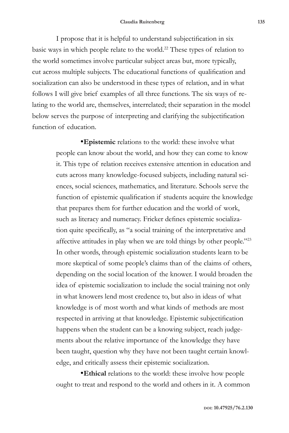I propose that it is helpful to understand subjectification in six basic ways in which people relate to the world.<sup>22</sup> These types of relation to the world sometimes involve particular subject areas but, more typically, cut across multiple subjects. The educational functions of qualification and socialization can also be understood in these types of relation, and in what follows I will give brief examples of all three functions. The six ways of relating to the world are, themselves, interrelated; their separation in the model below serves the purpose of interpreting and clarifying the subjectification function of education.

> •**Epistemic** relations to the world: these involve what people can know about the world, and how they can come to know it. This type of relation receives extensive attention in education and cuts across many knowledge-focused subjects, including natural sciences, social sciences, mathematics, and literature. Schools serve the function of epistemic qualification if students acquire the knowledge that prepares them for further education and the world of work, such as literacy and numeracy. Fricker defines epistemic socialization quite specifically, as "a social training of the interpretative and affective attitudes in play when we are told things by other people."23 In other words, through epistemic socialization students learn to be more skeptical of some people's claims than of the claims of others, depending on the social location of the knower. I would broaden the idea of epistemic socialization to include the social training not only in what knowers lend most credence to, but also in ideas of what knowledge is of most worth and what kinds of methods are most respected in arriving at that knowledge. Epistemic subjectification happens when the student can be a knowing subject, reach judgements about the relative importance of the knowledge they have been taught, question why they have not been taught certain knowledge, and critically assess their epistemic socialization.

•**Ethical** relations to the world: these involve how people ought to treat and respond to the world and others in it. A common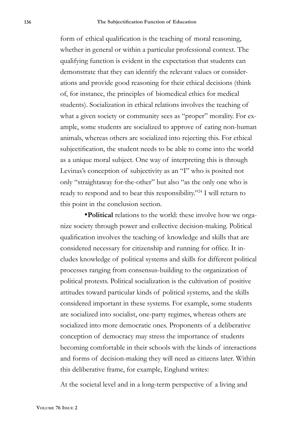form of ethical qualification is the teaching of moral reasoning, whether in general or within a particular professional context. The qualifying function is evident in the expectation that students can demonstrate that they can identify the relevant values or considerations and provide good reasoning for their ethical decisions (think of, for instance, the principles of biomedical ethics for medical students). Socialization in ethical relations involves the teaching of what a given society or community sees as "proper" morality. For example, some students are socialized to approve of eating non-human animals, whereas others are socialized into rejecting this. For ethical subjectification, the student needs to be able to come into the world as a unique moral subject. One way of interpreting this is through Levinas's conception of subjectivity as an "I" who is posited not only "straightaway for-the-other" but also "as the only one who is ready to respond and to bear this responsibility."24 I will return to this point in the conclusion section.

•**Political** relations to the world: these involve how we organize society through power and collective decision-making. Political qualification involves the teaching of knowledge and skills that are considered necessary for citizenship and running for office. It includes knowledge of political systems and skills for different political processes ranging from consensus-building to the organization of political protests. Political socialization is the cultivation of positive attitudes toward particular kinds of political systems, and the skills considered important in these systems. For example, some students are socialized into socialist, one-party regimes, whereas others are socialized into more democratic ones. Proponents of a deliberative conception of democracy may stress the importance of students becoming comfortable in their schools with the kinds of interactions and forms of decision-making they will need as citizens later. Within this deliberative frame, for example, Englund writes:

At the societal level and in a long-term perspective of a living and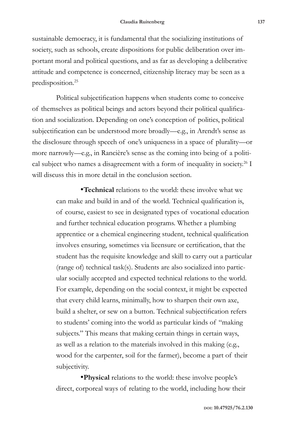sustainable democracy, it is fundamental that the socializing institutions of society, such as schools, create dispositions for public deliberation over important moral and political questions, and as far as developing a deliberative attitude and competence is concerned, citizenship literacy may be seen as a predisposition.<sup>25</sup>

Political subjectification happens when students come to conceive of themselves as political beings and actors beyond their political qualification and socialization. Depending on one's conception of politics, political subjectification can be understood more broadly—e.g., in Arendt's sense as the disclosure through speech of one's uniqueness in a space of plurality—or more narrowly—e.g., in Rancière's sense as the coming into being of a political subject who names a disagreement with a form of inequality in society.<sup>26</sup> I will discuss this in more detail in the conclusion section.

> •**Technical** relations to the world: these involve what we can make and build in and of the world. Technical qualification is, of course, easiest to see in designated types of vocational education and further technical education programs. Whether a plumbing apprentice or a chemical engineering student, technical qualification involves ensuring, sometimes via licensure or certification, that the student has the requisite knowledge and skill to carry out a particular (range of) technical task(s). Students are also socialized into particular socially accepted and expected technical relations to the world. For example, depending on the social context, it might be expected that every child learns, minimally, how to sharpen their own axe, build a shelter, or sew on a button. Technical subjectification refers to students' coming into the world as particular kinds of "making subjects." This means that making certain things in certain ways, as well as a relation to the materials involved in this making (e.g., wood for the carpenter, soil for the farmer), become a part of their subjectivity.

•**Physical** relations to the world: these involve people's direct, corporeal ways of relating to the world, including how their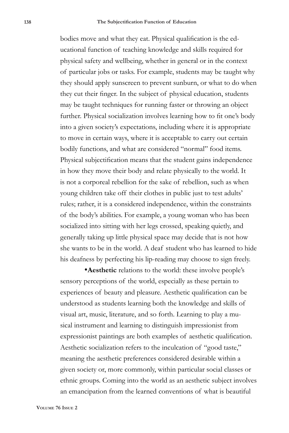bodies move and what they eat. Physical qualification is the educational function of teaching knowledge and skills required for physical safety and wellbeing, whether in general or in the context of particular jobs or tasks. For example, students may be taught why they should apply sunscreen to prevent sunburn, or what to do when they cut their finger. In the subject of physical education, students may be taught techniques for running faster or throwing an object further. Physical socialization involves learning how to fit one's body into a given society's expectations, including where it is appropriate to move in certain ways, where it is acceptable to carry out certain bodily functions, and what are considered "normal" food items. Physical subjectification means that the student gains independence in how they move their body and relate physically to the world. It is not a corporeal rebellion for the sake of rebellion, such as when young children take off their clothes in public just to test adults' rules; rather, it is a considered independence, within the constraints of the body's abilities. For example, a young woman who has been socialized into sitting with her legs crossed, speaking quietly, and generally taking up little physical space may decide that is not how she wants to be in the world. A deaf student who has learned to hide his deafness by perfecting his lip-reading may choose to sign freely.

•**Aesthetic** relations to the world: these involve people's sensory perceptions of the world, especially as these pertain to experiences of beauty and pleasure. Aesthetic qualification can be understood as students learning both the knowledge and skills of visual art, music, literature, and so forth. Learning to play a musical instrument and learning to distinguish impressionist from expressionist paintings are both examples of aesthetic qualification. Aesthetic socialization refers to the inculcation of "good taste," meaning the aesthetic preferences considered desirable within a given society or, more commonly, within particular social classes or ethnic groups. Coming into the world as an aesthetic subject involves an emancipation from the learned conventions of what is beautiful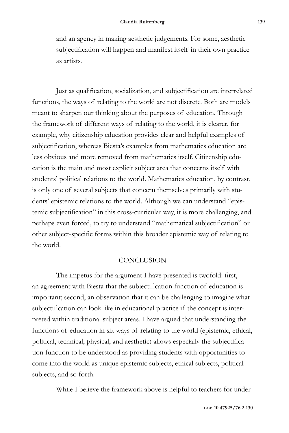and an agency in making aesthetic judgements. For some, aesthetic subjectification will happen and manifest itself in their own practice as artists.

Just as qualification, socialization, and subjectification are interrelated functions, the ways of relating to the world are not discrete. Both are models meant to sharpen our thinking about the purposes of education. Through the framework of different ways of relating to the world, it is clearer, for example, why citizenship education provides clear and helpful examples of subjectification, whereas Biesta's examples from mathematics education are less obvious and more removed from mathematics itself. Citizenship education is the main and most explicit subject area that concerns itself with students' political relations to the world. Mathematics education, by contrast, is only one of several subjects that concern themselves primarily with students' epistemic relations to the world. Although we can understand "epistemic subjectification" in this cross-curricular way, it is more challenging, and perhaps even forced, to try to understand "mathematical subjectification" or other subject-specific forms within this broader epistemic way of relating to the world.

#### **CONCLUSION**

The impetus for the argument I have presented is twofold: first, an agreement with Biesta that the subjectification function of education is important; second, an observation that it can be challenging to imagine what subjectification can look like in educational practice if the concept is interpreted within traditional subject areas. I have argued that understanding the functions of education in six ways of relating to the world (epistemic, ethical, political, technical, physical, and aesthetic) allows especially the subjectification function to be understood as providing students with opportunities to come into the world as unique epistemic subjects, ethical subjects, political subjects, and so forth.

While I believe the framework above is helpful to teachers for under-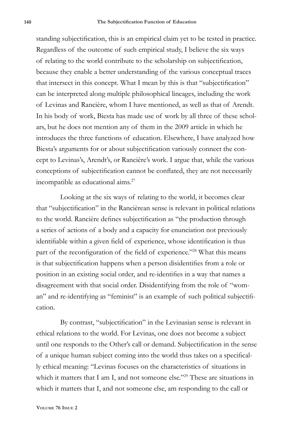standing subjectification, this is an empirical claim yet to be tested in practice. Regardless of the outcome of such empirical study, I believe the six ways of relating to the world contribute to the scholarship on subjectification, because they enable a better understanding of the various conceptual traces that intersect in this concept. What I mean by this is that "subjectification" can be interpreted along multiple philosophical lineages, including the work of Levinas and Rancière, whom I have mentioned, as well as that of Arendt. In his body of work, Biesta has made use of work by all three of these scholars, but he does not mention any of them in the 2009 article in which he introduces the three functions of education. Elsewhere, I have analyzed how Biesta's arguments for or about subjectification variously connect the concept to Levinas's, Arendt's, or Rancière's work. I argue that, while the various conceptions of subjectification cannot be conflated, they are not necessarily incompatible as educational aims.27

Looking at the six ways of relating to the world, it becomes clear that "subjectification" in the Rancièrean sense is relevant in political relations to the world. Rancière defines subjectification as "the production through a series of actions of a body and a capacity for enunciation not previously identifiable within a given field of experience, whose identification is thus part of the reconfiguration of the field of experience."<sup>28</sup> What this means is that subjectification happens when a person disidentifies from a role or position in an existing social order, and re-identifies in a way that names a disagreement with that social order. Disidentifying from the role of "woman" and re-identifying as "feminist" is an example of such political subjectification.

By contrast, "subjectification" in the Levinasian sense is relevant in ethical relations to the world. For Levinas, one does not become a subject until one responds to the Other's call or demand. Subjectification in the sense of a unique human subject coming into the world thus takes on a specifically ethical meaning: "Levinas focuses on the characteristics of situations in which it matters that I am I, and not someone else."<sup>29</sup> These are situations in which it matters that I, and not someone else, am responding to the call or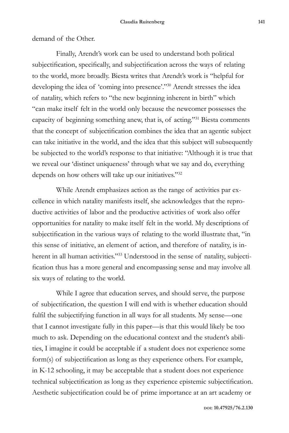demand of the Other.

Finally, Arendt's work can be used to understand both political subjectification, specifically, and subjectification across the ways of relating to the world, more broadly. Biesta writes that Arendt's work is "helpful for developing the idea of 'coming into presence'."30 Arendt stresses the idea of natality, which refers to "the new beginning inherent in birth" which "can make itself felt in the world only because the newcomer possesses the capacity of beginning something anew, that is, of acting."<sup>31</sup> Biesta comments that the concept of subjectification combines the idea that an agentic subject can take initiative in the world, and the idea that this subject will subsequently be subjected to the world's response to that initiative: "Although it is true that we reveal our 'distinct uniqueness' through what we say and do, everything depends on how others will take up our initiatives."32

While Arendt emphasizes action as the range of activities par excellence in which natality manifests itself, she acknowledges that the reproductive activities of labor and the productive activities of work also offer opportunities for natality to make itself felt in the world. My descriptions of subjectification in the various ways of relating to the world illustrate that, "in this sense of initiative, an element of action, and therefore of natality, is inherent in all human activities."33 Understood in the sense of natality, subjectification thus has a more general and encompassing sense and may involve all six ways of relating to the world.

While I agree that education serves, and should serve, the purpose of subjectification, the question I will end with is whether education should fulfil the subjectifying function in all ways for all students. My sense—one that I cannot investigate fully in this paper—is that this would likely be too much to ask. Depending on the educational context and the student's abilities, I imagine it could be acceptable if a student does not experience some form(s) of subjectification as long as they experience others. For example, in K-12 schooling, it may be acceptable that a student does not experience technical subjectification as long as they experience epistemic subjectification. Aesthetic subjectification could be of prime importance at an art academy or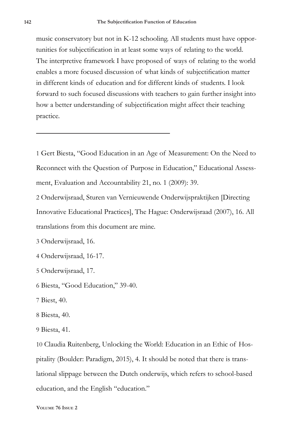music conservatory but not in K-12 schooling. All students must have opportunities for subjectification in at least some ways of relating to the world. The interpretive framework I have proposed of ways of relating to the world enables a more focused discussion of what kinds of subjectification matter in different kinds of education and for different kinds of students. I look forward to such focused discussions with teachers to gain further insight into how a better understanding of subjectification might affect their teaching practice.

1 Gert Biesta, "Good Education in an Age of Measurement: On the Need to Reconnect with the Question of Purpose in Education," Educational Assessment, Evaluation and Accountability 21, no. 1 (2009): 39.

2 Onderwijsraad, Sturen van Vernieuwende Onderwijspraktijken [Directing Innovative Educational Practices], The Hague: Onderwijsraad (2007), 16. All translations from this document are mine.

3 Onderwijsraad, 16.

4 Onderwijsraad, 16-17.

5 Onderwijsraad, 17.

6 Biesta, "Good Education," 39-40.

7 Biest, 40.

8 Biesta, 40.

9 Biesta, 41.

10 Claudia Ruitenberg, Unlocking the World: Education in an Ethic of Hospitality (Boulder: Paradigm, 2015), 4. It should be noted that there is translational slippage between the Dutch onderwijs, which refers to school-based education, and the English "education."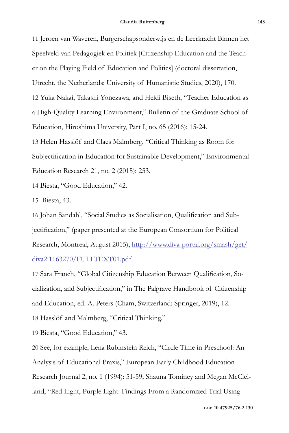11 Jeroen van Waveren, Burgerschapsonderwijs en de Leerkracht Binnen het Speelveld van Pedagogiek en Politiek [Citizenship Education and the Teacher on the Playing Field of Education and Politics] (doctoral dissertation, Utrecht, the Netherlands: University of Humanistic Studies, 2020), 170. 12 Yuka Nakai, Takashi Yonezawa, and Heidi Biseth, "Teacher Education as a High-Quality Learning Environment," Bulletin of the Graduate School of Education, Hiroshima University, Part I, no. 65 (2016): 15-24. 13 Helen Hasslöf and Claes Malmberg, "Critical Thinking as Room for Subjectification in Education for Sustainable Development," Environmental Education Research 21, no. 2 (2015): 253.

14 Biesta, "Good Education," 42.

15 Biesta, 43.

16 Johan Sandahl, "Social Studies as Socialisation, Qualification and Subjectification," (paper presented at the European Consortium for Political Research, Montreal, August 2015), http://www.diva-portal.org/smash/get/ diva2:1163270/FULLTEXT01.pdf.

17 Sara Franch, "Global Citizenship Education Between Qualification, Socialization, and Subjectification," in The Palgrave Handbook of Citizenship and Education, ed. A. Peters (Cham, Switzerland: Springer, 2019), 12. 18 Hasslöf and Malmberg, "Critical Thinking."

19 Biesta, "Good Education," 43.

20 See, for example, Lena Rubinstein Reich, "Circle Time in Preschool: An Analysis of Educational Praxis," European Early Childhood Education Research Journal 2, no. 1 (1994): 51-59; Shauna Tominey and Megan McClelland, "Red Light, Purple Light: Findings From a Randomized Trial Using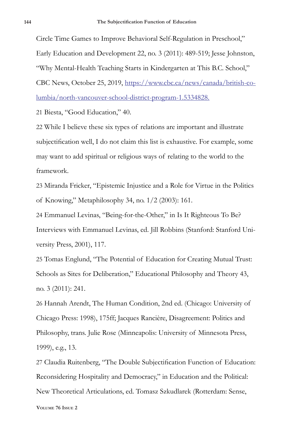Circle Time Games to Improve Behavioral Self-Regulation in Preschool," Early Education and Development 22, no. 3 (2011): 489-519; Jesse Johnston, "Why Mental-Health Teaching Starts in Kindergarten at This B.C. School," CBC News, October 25, 2019, https://www.cbc.ca/news/canada/british-columbia/north-vancouver-school-district-program-1.5334828.

21 Biesta, "Good Education," 40.

22 While I believe these six types of relations are important and illustrate subjectification well, I do not claim this list is exhaustive. For example, some may want to add spiritual or religious ways of relating to the world to the framework.

23 Miranda Fricker, "Epistemic Injustice and a Role for Virtue in the Politics of Knowing," Metaphilosophy 34, no. 1/2 (2003): 161.

24 Emmanuel Levinas, "Being-for-the-Other," in Is It Righteous To Be? Interviews with Emmanuel Levinas, ed. Jill Robbins (Stanford: Stanford University Press, 2001), 117.

25 Tomas Englund, "The Potential of Education for Creating Mutual Trust: Schools as Sites for Deliberation," Educational Philosophy and Theory 43, no. 3 (2011): 241.

26 Hannah Arendt, The Human Condition, 2nd ed. (Chicago: University of Chicago Press: 1998), 175ff; Jacques Rancière, Disagreement: Politics and Philosophy, trans. Julie Rose (Minneapolis: University of Minnesota Press, 1999), e.g., 13.

27 Claudia Ruitenberg, "The Double Subjectification Function of Education: Reconsidering Hospitality and Democracy," in Education and the Political: New Theoretical Articulations, ed. Tomasz Szkudlarek (Rotterdam: Sense,